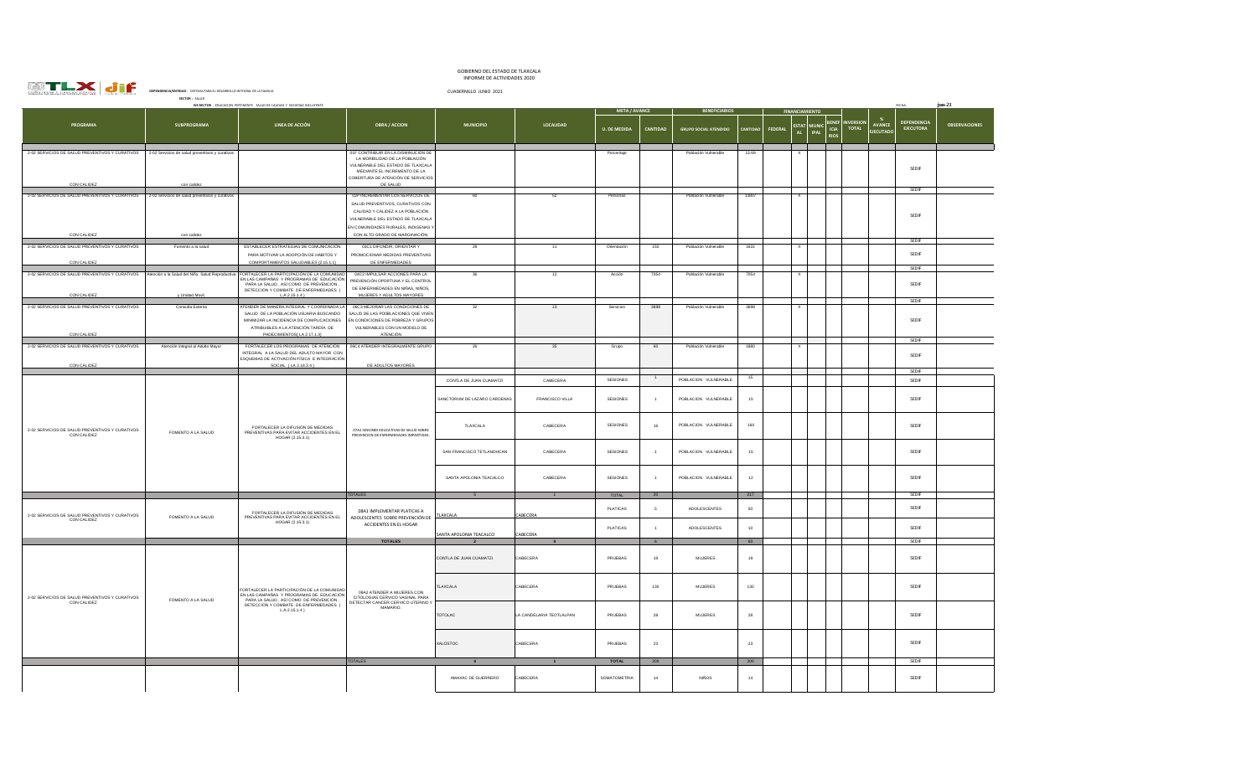|                                                                                                 |                                                                         |                                                                                                                                                                         |                                                                                                                                                                                    | INFORME DE ACTIVIDADES 2020                             |                             |                      |                     |                                              |            |                                      |                             |                                              |                                  |                                 |                      |
|-------------------------------------------------------------------------------------------------|-------------------------------------------------------------------------|-------------------------------------------------------------------------------------------------------------------------------------------------------------------------|------------------------------------------------------------------------------------------------------------------------------------------------------------------------------------|---------------------------------------------------------|-----------------------------|----------------------|---------------------|----------------------------------------------|------------|--------------------------------------|-----------------------------|----------------------------------------------|----------------------------------|---------------------------------|----------------------|
| <b>WILX Jif</b>                                                                                 | DEPENDENCIA/ENTIDAD : SISTEMA PARA EL DESARROLLO INTEGRAL DE LA FAMILIA |                                                                                                                                                                         |                                                                                                                                                                                    | CUADERNILLO JUNIO 2021                                  |                             |                      |                     |                                              |            |                                      |                             |                                              |                                  |                                 |                      |
|                                                                                                 | SECTOR: SALUD                                                           |                                                                                                                                                                         |                                                                                                                                                                                    |                                                         |                             |                      |                     |                                              |            |                                      |                             |                                              |                                  |                                 |                      |
|                                                                                                 |                                                                         | FIF RECTOR : FOUCACION PERTINENTE SAILID DE CAUDAD Y SOCIEDAD INCLUYENTE                                                                                                |                                                                                                                                                                                    |                                                         |                             | <b>META / AVANCE</b> |                     | <b>BENEFICIARIOS</b>                         |            |                                      |                             |                                              |                                  |                                 |                      |
| PROGRAMA                                                                                        | <b>SUBPROGRAMA</b>                                                      | LINEA DE ACCIÓN                                                                                                                                                         | <b>OBRA / ACCION</b>                                                                                                                                                               | <b>MUNICIPIO</b>                                        | LOCALIDAD                   | <b>U. DF MFDIDA</b>  | <b>CANTIDAD</b>     | <b>GRUPO SOCIAL ATENDIDO</b>                 |            | <b>ESTAT</b><br><b>FFDFRAL</b><br>AL | <b>MUNIC</b><br><b>IPAL</b> | <b>BENEF</b><br>ICIA<br>RIOS<br><b>TOTAL</b> | <b>AVANCE</b><br><b>IFCUTADE</b> | DEPENDENCIA<br><b>EJECUTORA</b> | <b>OBSERVACIONES</b> |
| 2-02 SERVICIOS DE SALUD PREVENTIVOS Y CURATIVOS 2-02 Servicios de salud preventivos y curativos |                                                                         |                                                                                                                                                                         | 11F CONTRIBUIR EN LA DISMINUCIÓN DE<br>LA MORBILIDAD DE LA POBLACIÓN<br>VULNERABLE DEL ESTADO DE TLAXCALA<br>MEDIANTE EL INCREMENTO DE LA<br>COBERTURA DE ATENCIÓN DE SERVICIOS    |                                                         |                             | Porcentaje           |                     | Población Vulnerable                         | 13.69      |                                      |                             |                                              |                                  | SEDIF                           |                      |
| CON CALIDEZ                                                                                     | con calidez                                                             |                                                                                                                                                                         | DE SALUD<br>02P INCREMENTAR LOS SERVICIOS DE                                                                                                                                       | 60                                                      | 52                          | Personas             |                     | Población Vulnerable                         | 13807      |                                      |                             |                                              |                                  | SEDIF                           |                      |
| 2-02 SERVICIOS DE SALUD PREVENTIVOS Y CURATIVOS<br>CON CALIDEZ                                  | 2-02 Servicios de salud preventivos y curativo<br>con calide            |                                                                                                                                                                         | SALUD PREVENTIVOS, CURATIVOS CON<br>CALIDAD Y CALIDEZ A LA POBLACIÓN<br>VULNERABLE DEL ESTADO DE TLAXCALA<br>EN COMUNIDADES RURALES, INDIGENAS Y<br>CON ALTO GRADO DE MARGINACIÓN. |                                                         |                             |                      |                     |                                              |            |                                      |                             |                                              |                                  | SEDIF                           |                      |
|                                                                                                 |                                                                         |                                                                                                                                                                         |                                                                                                                                                                                    |                                                         |                             |                      |                     |                                              |            |                                      |                             |                                              |                                  | SEDIF                           |                      |
| 2-02 SERVICIOS DE SALUD PREVENTIVOS Y CURATIVOS<br>CON CALIDEZ                                  | Fomento a la salud                                                      | ESTABLECER ESTRATEGIAS DE COMUNICACIÓN<br>PARA MOTIVAR LA ADOPCIÓN DE HABITOS Y<br>COMPORTAMENTOS SALUDARIES (2.15.1.1)                                                 | 03C1 DIFUNDIR, ORIENTAR Y<br>PROMOCIONAR MEDIDAS PREVENTIVAS<br>DE ENFERMEDADES                                                                                                    | 28                                                      |                             | Orientación          | 150                 | Población Vulnerable                         | 1631       |                                      |                             |                                              |                                  | SEDIF<br>SEDIF                  |                      |
| 2-02 SERVICIOS DE SALUD PREVENTIVOS Y CURATIVOS                                                 | Atención a la Salud del Niño. Salud Reproducti                          | FORTALECER LA PARTICIPACIÓN DE LA COMUNIDAD                                                                                                                             | 04C2 IMPULSAR ACCIONES PARA LA                                                                                                                                                     |                                                         |                             | Acción               | 705                 | Población Vulnerable                         | 7054       |                                      |                             |                                              |                                  |                                 |                      |
| CON CALIDEZ                                                                                     | v Unidad Movil.                                                         | EN LAS CAMPAÑAS Y PROGRAMAS DE EDUCACIÓN<br>PARA LA SALUD. ASÍ COMO DE PREVENCIÓN.<br>DETECCIÓN Y COMBATE DE ENFERMEDADES (<br>A21514                                   | PREVENCIÓN OPORTUNA Y EL CONTROL<br>DE ENFERMEDADES EN NIÑAS, NIÑOS,<br>MILIERES Y ADULTOS MAYORES                                                                                 |                                                         |                             |                      |                     |                                              |            |                                      |                             |                                              |                                  | SEDIE<br>SEDIF                  |                      |
| 2-02 SERVICIOS DE SALUD PREVENTIVOS Y CURATIVOS                                                 | Consulta Externa                                                        | TENDER DE MANERA INTEGRAL Y COORDINADA LA<br>SALUD DE LA POBLACIÓN USUARIA BUSCANDO<br>MINIMIZAR LA INCIDENCIA DE COMPLICACIONES<br>ATRIBUIBLES A LA ATENCIÓN TARDÍA DE | 06C3 MEJORAR LAS CONDICIONES DE<br>SALUD DE LAS PO0BLACIONES QUE VIVEN<br>N CONDICIONES DE POBREZA Y GRUPOS<br>VULNERABLES CON UN MODELO DE                                        |                                                         |                             | Servicios            | 3698                | Población Vulnerable                         | 3698       |                                      |                             |                                              |                                  | SEDIF                           |                      |
| CON CALIDEZ                                                                                     |                                                                         | PADECIMIENTOS(LA 2.17.1.3)                                                                                                                                              | ATENCIÓN                                                                                                                                                                           |                                                         |                             |                      |                     |                                              |            |                                      |                             |                                              |                                  | SEDIE                           |                      |
| 2-02 SERVICIOS DE SALUD PREVENTIVOS Y CURATIVOS<br>CON CALIDEZ                                  | Atención integral al Adulto Mayor                                       | FORTALECER LOS PROGRAMAS DE ATENCIÓN<br>INTEGRAL A LA SALUD DEL ADULTO MAYOR CON<br>ESQUEMAS DE ACTIVACIÓN FÍSICA E INTEGRACIÓN<br>SOCIAL (LA 2.18.3.4)                 | 06C4 ATENDER INTEGRALMENTE GRUPO<br>DE ADULTOS MAYORES                                                                                                                             |                                                         | 35                          | Grupo                | 60                  | Población Vulnerable                         | 1880       |                                      |                             |                                              |                                  | SEDIF                           |                      |
|                                                                                                 |                                                                         |                                                                                                                                                                         |                                                                                                                                                                                    |                                                         |                             |                      |                     |                                              |            |                                      |                             |                                              |                                  | SEDIF                           |                      |
|                                                                                                 |                                                                         |                                                                                                                                                                         |                                                                                                                                                                                    | CONTLA DE JUAN CUAMATZI<br>SANCTORUM DE LAZARO CARDENAS | CABECERA<br>FRANCISCO VILLA | SESIONES<br>SESIONES |                     | POBLACION VULNERABLE<br>POBLACION VULNERABLE | 15         |                                      |                             |                                              |                                  | SEDIF<br>SEDIF                  |                      |
| 2-02 SERVICIOS DE SALUD PREVENTIVOS Y CURATIVOS<br>CON CALIDEZ                                  | FOMENTO A LA SALUD                                                      | FORTALECER LA DIFUSIÓN DE MEDIDAS<br>PREVENTIVAS PARA EVITAR ACCIDENTES EN EL                                                                                           | 07A1 SESIONES EDUCATIVAS DE SALUD SOBRI<br>PREVENCION DE ENFERMEDADES IMPARTIDAS                                                                                                   | TLAXCALA                                                | CABECERA                    | <b>SESIONES</b>      | 16                  | POBLACION VULNERABLE                         | 160        |                                      |                             |                                              |                                  | SEDIF                           |                      |
|                                                                                                 |                                                                         | HOGAR (2.15.3.1)                                                                                                                                                        |                                                                                                                                                                                    | SAN FRANCISCO TETLANOHCAN                               | CABECERA                    | SESIONES             |                     | POBLACION VULNERABLE                         | 15         |                                      |                             |                                              |                                  | SEDIF                           |                      |
|                                                                                                 |                                                                         |                                                                                                                                                                         |                                                                                                                                                                                    | SANTA APOLONIA TEACALCO                                 | CABECERA                    | SESIONES             | $\overline{1}$      | POBLACION VULNERABLE                         | 12         |                                      |                             |                                              |                                  | SEDIF                           |                      |
|                                                                                                 |                                                                         |                                                                                                                                                                         | <b>TOTALES</b>                                                                                                                                                                     | <b>5</b>                                                | $\overline{1}$              | TOTAL                | 20                  |                                              | 217        |                                      |                             |                                              |                                  | SEDIF                           |                      |
| 2-02 SERVICIOS DE SALUD PREVENTIVOS Y CURATIVOS<br>CON CALIDEZ                                  | FOMENTO A LA SALUD                                                      | FORTALECER LA DIFUSIÓN DE MEDIDAS<br>PREVENTIVAS PARA EVITAR ACCIDENTES EN EL<br>HOGAR (2.15.3.1)                                                                       | 08A1 IMPLEMENTAR PLATICAS A<br>ADOLESCENTES SORRE PREVENCIÓN DE<br>ACCIDENTES EN EL HOGAR                                                                                          | TLAXCALA                                                | CABECERA                    | <b>PLATICAS</b>      | 5                   | ADOLESCENTES                                 | $50\,$     |                                      |                             |                                              |                                  | SEDIF                           |                      |
|                                                                                                 |                                                                         |                                                                                                                                                                         | <b>TOTALES</b>                                                                                                                                                                     | SANTA APOLONIA TEACALCO                                 | CARECERA                    | PLATICAS             | $\overline{1}$<br>6 | ADOLESCENTES                                 | 10<br>60   |                                      |                             |                                              |                                  | SEDIF<br>SEDIF                  |                      |
|                                                                                                 |                                                                         |                                                                                                                                                                         |                                                                                                                                                                                    | CONTLA DE JUAN CUAMATZI                                 | CABECERA                    | PRUEBAS              | 19                  | $\mathsf{MULERES}\xspace$                    | 19         |                                      |                             |                                              |                                  | SEDIF                           |                      |
| 2-02 SERVICIOS DE SALUD PREVENTIVOS Y CURATIVOS                                                 | FOMENTO A LA SALUD                                                      | FORTALECER LA PARTICIPACIÓN DE LA COMUNIDAD<br>EN LAS CAMPAÑAS Y PROGRAMAS DE EDUCACIÓN<br>PARA LA SALUD, ASÍ COMO DE PREVENCIÓN                                        | 09A2 ATENDER A MUJERES CON<br>CITOLOGIAS CERVICO VAGINAL PARA<br>DETECTAR CANCER CERVICO UTERINO Y                                                                                 | TLAXCALA                                                | CABECERA                    | PRUEBAS              | $130\,$             | $\mathsf{MULERES}\xspace$                    | 130        |                                      |                             |                                              |                                  | SEDIF                           |                      |
| CON CALIDEZ                                                                                     |                                                                         | DETECCIÓN Y COMBATE DE ENFERMEDADES (<br>LA.2.15.1.4)                                                                                                                   | MAMARIO.                                                                                                                                                                           | <b>TOTOLAC</b>                                          | LA CANDELARIA TEOTLALPAN    | PRUEBAS              | 28                  | <b>MUJERES</b>                               | ${\bf 28}$ |                                      |                             |                                              |                                  | SEDIF                           |                      |
|                                                                                                 |                                                                         |                                                                                                                                                                         |                                                                                                                                                                                    | XALOSTOC                                                | CABECERA                    | PRUEBAS              | 23                  |                                              | 23         |                                      |                             |                                              |                                  | SEDIF                           |                      |
|                                                                                                 |                                                                         |                                                                                                                                                                         | <b>TOTALES</b>                                                                                                                                                                     |                                                         |                             | <b>TOTAL</b>         | $200\,$             |                                              | 200        |                                      |                             |                                              |                                  | SEDIF                           |                      |
|                                                                                                 |                                                                         |                                                                                                                                                                         |                                                                                                                                                                                    | AMAXAC DE GUERRERO                                      | CABECERA                    | SOMATOMETRIA         | 14                  | NIÑOS                                        | 14         |                                      |                             |                                              |                                  | SEDIF                           |                      |

GOBIERNO DEL ESTADO DE TLAXCALA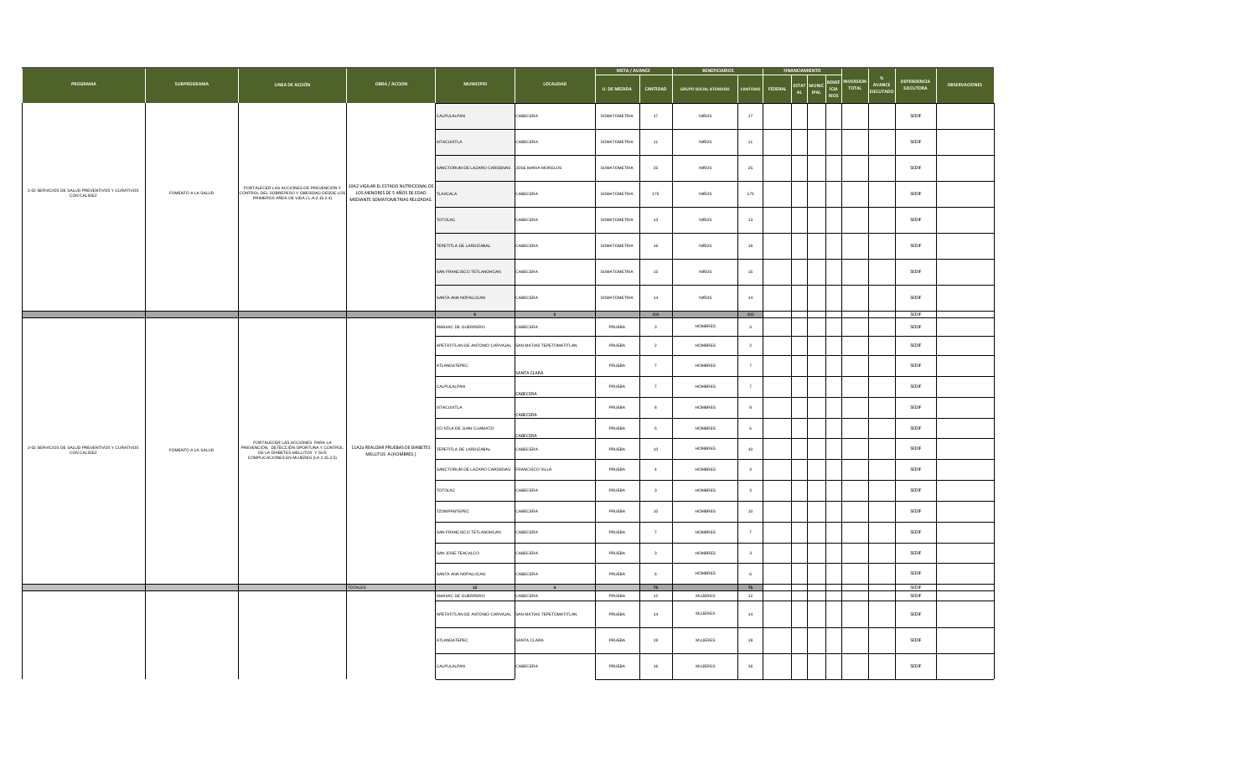|                                                                |                    |                                                                                                                                                         |                                                                                                             |                                                                                 |                | <b>META / AVANCE</b> |                         | <b>BENEFICIARIOS</b>             |                         |                             |                                                                                    |              |                    |                                 |                      |
|----------------------------------------------------------------|--------------------|---------------------------------------------------------------------------------------------------------------------------------------------------------|-------------------------------------------------------------------------------------------------------------|---------------------------------------------------------------------------------|----------------|----------------------|-------------------------|----------------------------------|-------------------------|-----------------------------|------------------------------------------------------------------------------------|--------------|--------------------|---------------------------------|----------------------|
| PROGRAMA                                                       | <b>SUBPROGRAMA</b> | LINEA DE ACCIÓN                                                                                                                                         | <b>OBRA / ACCION</b>                                                                                        | <b>MUNICIPIO</b>                                                                | LOCALIDAD      | <b>U. DE MEDIDA</b>  | CANTIDAD                | <b>GRUPO SOCIAL ATENDIDO</b>     | CANTIDAD                | <b>FEDERAL</b><br><b>AL</b> | BENEF<br><b>ESTAT MUNIC</b><br>ICIA<br>$\ensuremath{\mathsf{IPAL}}$<br><b>RIOS</b> | <b>TOTAL</b> | AVANCE<br>EJECUTAD | DEPENDENCIA<br><b>EJECUTORA</b> | <b>OBSERVACIONES</b> |
|                                                                |                    |                                                                                                                                                         |                                                                                                             | CALPULALPAN                                                                     | CABECERA       | SOMATOMETRIA         | 17                      | NIÑOS                            | 17                      |                             |                                                                                    |              |                    | SEDIF                           |                      |
|                                                                |                    |                                                                                                                                                         |                                                                                                             | <b>IXTACUIXTLA</b>                                                              | CABECERA       | SOMATOMETRIA         | 11                      | NIÑOS                            | 11                      |                             |                                                                                    |              |                    | SEDIF                           |                      |
|                                                                |                    |                                                                                                                                                         |                                                                                                             | SANCTORUM DE LAZARO CARDENAS JOSE MARIA MORELOS                                 |                | SOMATOMETRIA         | 25                      | <b>NIÑOS</b>                     | 25                      |                             |                                                                                    |              |                    | SEDIF                           |                      |
| 2-02 SERVICIOS DE SALUD PREVENTIVOS Y CURATIVOS<br>CON CALIDEZ | FOMENTO A LA SALUD | FORTALECER LAS ACCIONES DE PREVENCIÓN Y<br>CONTROL DEL SOBREPESO Y OBESIDAD DESDE LOS<br>PRIMEROS AÑOS DE VIDA (L.A.2.15.2.4)                           | 10A2 VIGILAR EL ESTADO NUTRICIONAL DE<br>LOS MENORES DE 5 AÑOS DE EDAD<br>MEDIANTE SOMATOMETRIAS RELIZADAS. | TLAXCALA                                                                        | CABECERA       | SOMATOMETRIA         | 175                     | NIÑOS                            | 175                     |                             |                                                                                    |              |                    | SEDIF                           |                      |
|                                                                |                    |                                                                                                                                                         |                                                                                                             | TOTOLAC                                                                         | CABECERA       | SOMATOMETRIA         | $13\,$                  | NIÑOS                            | 13                      |                             |                                                                                    |              |                    | SEDIF                           |                      |
|                                                                |                    |                                                                                                                                                         |                                                                                                             | TEPETITLA DE LARDIZABAL                                                         | CABECERA       | SOMATOMETRIA         | 16                      | <b>NIÑOS</b>                     | 16                      |                             |                                                                                    |              |                    | SEDIF                           |                      |
|                                                                |                    |                                                                                                                                                         |                                                                                                             | SAN FRANCISCO TETLANOHCAN                                                       | CABECERA       | SOMATOMETRIA         | 15                      | NIÑOS                            | 15                      |                             |                                                                                    |              |                    | SEDIF                           |                      |
|                                                                |                    |                                                                                                                                                         | SANTA ANA NOPALUCAN                                                                                         | CABECERA                                                                        | SOMATOMETRIA   | 14                   | NIÑOS                   | 14                               |                         |                             |                                                                                    |              | SEDIF              |                                 |                      |
|                                                                |                    |                                                                                                                                                         |                                                                                                             |                                                                                 |                |                      | 300                     |                                  | 300                     |                             |                                                                                    |              |                    | SEDIF                           |                      |
|                                                                |                    |                                                                                                                                                         |                                                                                                             | MAXAC DE GUERRERO                                                               | CABECERA       | PRUEBA               | $_{3}$                  | HOMBRES                          | $_{3}$                  |                             |                                                                                    |              |                    | SEDIF                           |                      |
|                                                                |                    |                                                                                                                                                         |                                                                                                             | APETATITLAN DE ANTONIO CARVAJAL SAN MATIAS TEPETOMATITLAN                       |                | PRUEBA               | $\,$ 2 $\,$             | HOMBRES                          | $\,$ 2 $\,$             |                             |                                                                                    |              |                    | SEDIF                           |                      |
|                                                                |                    |                                                                                                                                                         |                                                                                                             | ATLANGATEPEC                                                                    | SANTA CLARA    | PRUEBA               | $\overline{7}$          | <b>HOMBRES</b>                   | $\overline{7}$          |                             |                                                                                    |              |                    | SEDIF                           |                      |
|                                                                |                    |                                                                                                                                                         |                                                                                                             | CALPULALPAN                                                                     | CABECERA       | PRUEBA               | $\scriptstyle{7}$       | HOMBRES                          | $\overline{\tau}$       |                             |                                                                                    |              |                    | SEDIF                           |                      |
|                                                                |                    |                                                                                                                                                         |                                                                                                             | <b>IXTACUIXTLA</b>                                                              | CABECERA       | PRUEBA               | $\bf8$                  | HOMBRES                          | 8                       |                             |                                                                                    |              |                    | SEDIF                           |                      |
|                                                                |                    |                                                                                                                                                         | 11A2a REALIZAR PRUEBAS DE DIABETES TEPETITLA DE LARDIZABAL<br>MELLITUS A (HOMBRES)                          | CO NTLA DE JUAN CUAMATZI                                                        | CABECERA       | PRUEBA               | $\mathsf{s}$            | HOMBRES                          | 5                       |                             |                                                                                    |              |                    | SEDIF                           |                      |
| 2-02 SERVICIOS DE SALUD PREVENTIVOS Y CURATIVOS CON CALIDEZ    | FOMENTO A LA SALUD | FORTALECER LAS ACCIONES PARA LA<br>PREVENCIÓN, DETECCIÓN OPORTUNA Y CONTROL<br>DE LA DIABETES MELLITUS Y SUS<br>COMPLICACIONES EN MUJERES (LA 2.15.2.5) |                                                                                                             |                                                                                 | CABECERA       | PRUEBA               | 10                      | HOMBRES                          | 10 <sub>10</sub>        |                             |                                                                                    |              |                    | SEDIF                           |                      |
|                                                                |                    |                                                                                                                                                         |                                                                                                             | SANCTORUM DE LAZARO CARDENAS FRANCISCO VILLA                                    |                | PRUEBA               | $\sim$                  | <b>HOMBRES</b>                   | $\sim$                  |                             |                                                                                    |              |                    | SEDIF                           |                      |
|                                                                |                    |                                                                                                                                                         |                                                                                                             | TOTOLAC                                                                         | CABECERA       | PRUEBA               | $\overline{\mathbf{3}}$ | <b>HOMBRES</b>                   | $\overline{\mathbf{3}}$ |                             |                                                                                    |              |                    | SEDIF                           |                      |
|                                                                |                    |                                                                                                                                                         |                                                                                                             | TZOMPANTEPEC                                                                    | CABECERA       | PRUEBA               | 10                      | <b>HOMBRES</b>                   | 10                      |                             |                                                                                    |              |                    | SEDIF                           |                      |
|                                                                |                    |                                                                                                                                                         |                                                                                                             | SAN FRANCISCO TETLANOHCAN                                                       | CABECERA       | PRUEBA               | $\overline{7}$          | <b>HOMBRES</b>                   | $\overline{7}$          |                             |                                                                                    |              |                    | SEDIF                           |                      |
|                                                                |                    |                                                                                                                                                         |                                                                                                             | SAN JOSE TEACALCO                                                               | CABECERA       | PRUEBA               | $\overline{\mathbf{3}}$ | HOMBRES                          | $_{3}$                  |                             |                                                                                    |              |                    | SEDIF                           |                      |
|                                                                |                    |                                                                                                                                                         |                                                                                                             | SANTA ANA NOPALUCAN                                                             | CABECERA       | PRUEBA               | $\mathbf 6$             | HOMBRES                          | $\,$ 6                  |                             |                                                                                    |              |                    | SEDIF                           |                      |
|                                                                |                    |                                                                                                                                                         | <b>TOTALES</b>                                                                                              | 13                                                                              | $\overline{4}$ |                      | 75                      |                                  | 75                      |                             |                                                                                    |              |                    | SEDIF<br>SEDIE                  |                      |
|                                                                |                    |                                                                                                                                                         |                                                                                                             | AMAXAC DE GUERRERO<br>APETATITLAN DE ANTONIO CARVAJAL SAN MATIAS TEPETOMATITLAN | CABECERA       | PRUEBA<br>PRUEBA     | 12<br>14                | <b>MUJERES</b><br><b>MUJERES</b> | 12<br>14                |                             |                                                                                    |              |                    | SEDIF                           |                      |
|                                                                |                    |                                                                                                                                                         |                                                                                                             | ATLANGATEPEC                                                                    | SANTA CLARA    | PRUEBA               | 19                      | <b>MUJERES</b>                   | 19                      |                             |                                                                                    |              |                    | SEDIF                           |                      |
|                                                                |                    |                                                                                                                                                         |                                                                                                             | CALPULALPAN                                                                     | CABECERA       | PRUEBA               | 16                      | <b>MUJERES</b>                   | 16                      |                             |                                                                                    |              |                    | SEDIF                           |                      |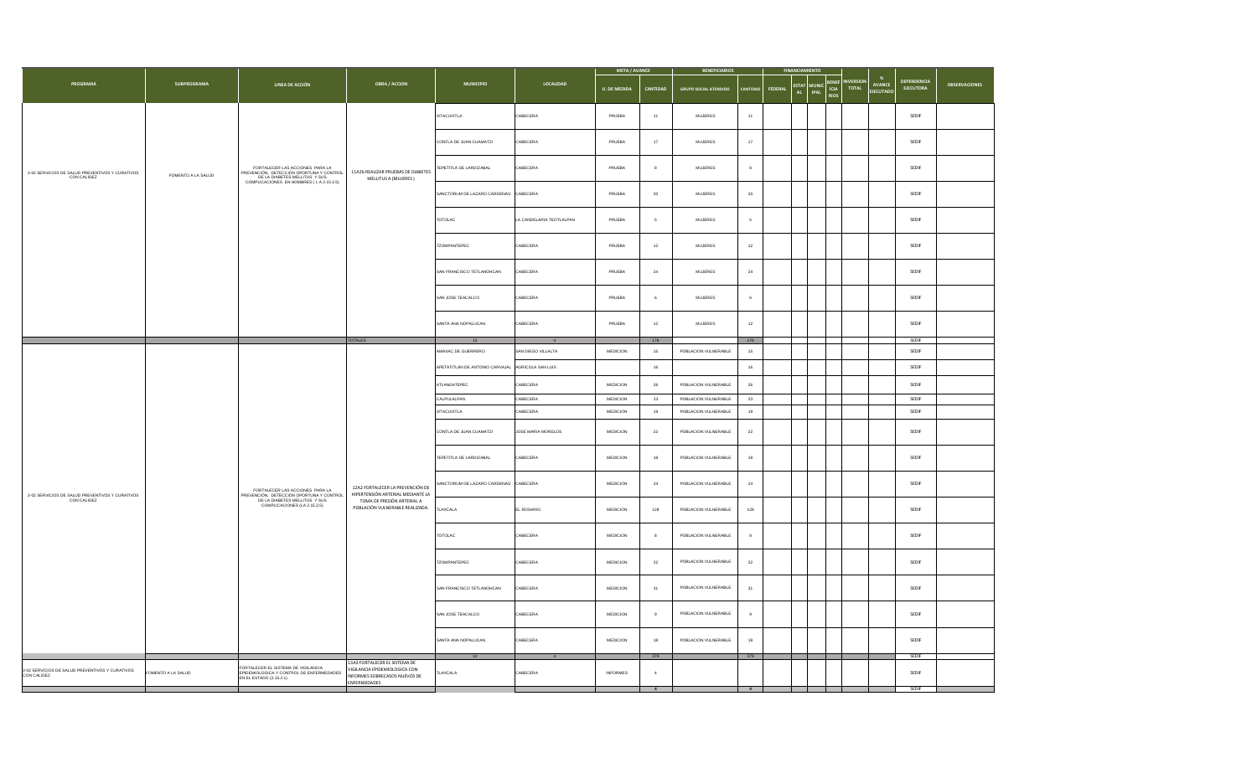|                                                                |                    |                                                                                                              |                                                                                                                 |                                                   |                          | META / AVANCE       |                | <b>BENEFICIARIOS</b>         |                |                                                 |                                                    |                                |                                             |                                 |                      |
|----------------------------------------------------------------|--------------------|--------------------------------------------------------------------------------------------------------------|-----------------------------------------------------------------------------------------------------------------|---------------------------------------------------|--------------------------|---------------------|----------------|------------------------------|----------------|-------------------------------------------------|----------------------------------------------------|--------------------------------|---------------------------------------------|---------------------------------|----------------------|
| PROGRAMA                                                       | <b>SUBPROGRAMA</b> | LINEA DE ACCIÓN                                                                                              | <b>OBRA / ACCION</b>                                                                                            | <b>MUNICIPIO</b>                                  | LOCALIDAD                | <b>U. DE MEDIDA</b> | CANTIDAD       | <b>GRUPO SOCIAL ATENDIDO</b> | <b>ANTIDAD</b> | <b>ESTA1</b><br><b>FEDERAL</b><br>$\mathsf{AL}$ | <b>BENEF</b><br>ICIA<br><b>IPAL</b><br><b>RIOS</b> | <b>VERSION</b><br><b>TOTAL</b> | $\frac{96}{2}$<br><b>AVANCE</b><br>FIFCUTAD | DEPENDENCIA<br><b>EJECUTORA</b> | <b>OBSERVACIONES</b> |
|                                                                |                    |                                                                                                              |                                                                                                                 | <b>IXTACUIXTLA</b>                                | CABECERA                 | PRUEBA              | 11             | <b>MUJERES</b>               | 11             |                                                 |                                                    |                                |                                             | SEDIF                           |                      |
|                                                                |                    |                                                                                                              |                                                                                                                 | CONTLA DE JUAN CUAMATZI                           | CABECERA                 | PRUEBA              | 17             | <b>MUJERES</b>               | 17             |                                                 |                                                    |                                |                                             | SEDIF                           |                      |
| 2-02 SERVICIOS DE SALUD PREVENTIVOS Y CURATIVOS<br>CON CALIDEZ | FOMENTO A LA SALUD | FORTALECER LAS ACCIONES PARA LA<br>PREVENCIÓN, DETECCIÓN OPORTUNA Y CONTROL<br>DE LA DIABETES MELLITUS Y SUS | 11A2b REALIZAR PRUEBAS DE DIABETES<br>MELLITUS A (MUJERES)                                                      | EPETITLA DE LARDIZABAL                            | ABECERA                  | PRUEBA              | 8              | MUJERES                      | $_{8}$         |                                                 |                                                    |                                |                                             | SEDIF                           |                      |
|                                                                |                    | COMPLICACIONES EN HOMBRES (LA 2.15.2.5)                                                                      |                                                                                                                 | SANCTORUM DE LAZARO CARDENAS CABECERA             |                          | PRUEBA              | 20             | <b>MUJERES</b>               | $20\,$         |                                                 |                                                    |                                |                                             | SEDIF                           |                      |
|                                                                |                    |                                                                                                              |                                                                                                                 | TOTOLAC                                           | LA CANDELARIA TEOTLALPAN | PRUEBA              | 5              | $\mathsf{MUIERES}\xspace$    | $\sqrt{5}$     |                                                 |                                                    |                                |                                             | SEDIF                           |                      |
|                                                                |                    |                                                                                                              |                                                                                                                 | <b>TZOMPANTEPEC</b>                               | CABECERA                 | PRUEBA              | $12$           | MUJERES                      | 12             |                                                 |                                                    |                                |                                             | SEDIF                           |                      |
|                                                                |                    |                                                                                                              |                                                                                                                 | SAN FRANCISCO TETLANOHCAN                         | <b>ABECERA</b>           | PRUEBA              | 24             | <b>MUJERES</b>               | 24             |                                                 |                                                    |                                |                                             | SEDIF                           |                      |
|                                                                |                    |                                                                                                              |                                                                                                                 | SAN JOSE TEACALCO                                 | ABECERA                  | PRUEBA              | 6              | $\mathsf{MULERES}\xspace$    | 6              |                                                 |                                                    |                                |                                             | SEDIF                           |                      |
|                                                                |                    |                                                                                                              |                                                                                                                 | SANTA ANA NOPALUCAN                               | CABECERA                 | PRUEBA              | 12             | MUJERES                      | 12             |                                                 |                                                    |                                |                                             | SEDIF                           |                      |
|                                                                |                    |                                                                                                              | <b>TOTALES</b>                                                                                                  | 13                                                |                          |                     | 176            |                              | 176            |                                                 |                                                    |                                |                                             | SEDIF                           |                      |
|                                                                |                    |                                                                                                              |                                                                                                                 | AMAXAC DE GUERRERO                                | SAN DIEGO VILLALTA       | <b>MEDICION</b>     | 15             | POBLACION VULNERABLE         | 15             |                                                 |                                                    |                                |                                             | SEDIF                           |                      |
|                                                                |                    |                                                                                                              |                                                                                                                 | APETATITLAN DE ANTONIO CARVAJAL AGRICOLA SAN LUIS |                          |                     | 16             |                              | 16             |                                                 |                                                    |                                |                                             | SEDIF                           |                      |
|                                                                |                    |                                                                                                              |                                                                                                                 | ATLANGATEPEC                                      | ABECERA                  | <b>MEDICION</b>     | 26             | POBLACION VULNERABLE         | 26             |                                                 |                                                    |                                |                                             | SEDIF                           |                      |
|                                                                |                    |                                                                                                              |                                                                                                                 | CALPULALPAN                                       | ABECERA                  | MEDICION            | 23             | POBLACION VULNERABLE         | $23\,$         |                                                 |                                                    |                                |                                             | SEDIF                           |                      |
|                                                                |                    |                                                                                                              |                                                                                                                 | <b>XTACUIXTLA</b>                                 | ABECERA                  | MEDICION            | 19             | POBLACION VULNERABLE         | $19$           |                                                 |                                                    |                                |                                             | SEDIF                           |                      |
|                                                                |                    |                                                                                                              |                                                                                                                 | CONTLA DE JUAN CUAMATZI                           | JOSE MARIA MORELOS       | MEDICION            | $\bf 22$       | POBLACION VULNERABLE         | $\bf 22$       |                                                 |                                                    |                                |                                             | SEDIF                           |                      |
|                                                                |                    |                                                                                                              |                                                                                                                 | TEPETITLA DE LARDIZABAL                           | ABECERA                  | MEDICION            | 18             | POBLACION VULNERABLE         | 18             |                                                 |                                                    |                                |                                             | SEDIF                           |                      |
| 2-02 SERVICIOS DE SALUD PREVENTIVOS Y CURATIVOS                |                    | FORTALECER LAS ACCIONES PARA LA<br>PREVENCIÓN, DETECCIÓN OPORTUNA Y CONTROL<br>DE LA DIABETES MELLITUS Y SUS | 12A2 FORTALECER LA PREVENCIÓN DE<br>HIPERTENSIÓN ARTERIAL MEDIANTE LA                                           | SANCTORUM DE LAZARO CARDENAS                      | CABECERA                 | <b>MEDICION</b>     | 24             | POBLACION VULNERABLE         | 24             |                                                 |                                                    |                                |                                             | SEDIF                           |                      |
| CON CALIDEZ                                                    |                    | COMPLICACIONES (LA 2.15.2.5)                                                                                 | TOMA DE PRESIÓN ARTERIAL A<br>POBLACIÓN VULNERABLE REALIZADA.                                                   | LAXCALA                                           | L ROSARIO                | MEDICION            | 128            | POBLACION VULNERABLE         | 128            |                                                 |                                                    |                                |                                             | SEDIF                           |                      |
|                                                                |                    |                                                                                                              |                                                                                                                 | TOTOLAC                                           | ABECERA                  | <b>MEDICION</b>     | 8              | POBLACION VULNERABLE         | 8              |                                                 |                                                    |                                |                                             | SEDIF                           |                      |
|                                                                |                    |                                                                                                              |                                                                                                                 | TZOMPANTEPEC                                      | CABECERA                 | MEDICION            | $^{\rm 22}$    | POBLACION VULNERABLE         | $\bf 22$       |                                                 |                                                    |                                |                                             | SEDIF                           |                      |
|                                                                |                    |                                                                                                              |                                                                                                                 | SAN FRANCISCO TETLANOHCAN                         | ABECERA                  | MEDICION            | 31             | POBLACION VULNERABLE         | 31             |                                                 |                                                    |                                |                                             | SEDIF                           |                      |
|                                                                |                    |                                                                                                              |                                                                                                                 | SAN JOSE TEACALCO                                 | CABECERA                 | <b>MEDICION</b>     | $\overline{9}$ | POBLACION VULNERABLE         | $\overline{a}$ |                                                 |                                                    |                                |                                             | SEDIF                           |                      |
|                                                                |                    |                                                                                                              |                                                                                                                 | SANTA ANA NOPALUCAN                               | CABECERA                 | MEDICION            | $18\,$         | POBLACION VULNERABLE         | $18\,$         |                                                 |                                                    |                                |                                             | SEDIF                           |                      |
|                                                                |                    |                                                                                                              |                                                                                                                 |                                                   |                          |                     | 379            |                              | 379            |                                                 |                                                    |                                |                                             | SEDIF                           |                      |
| 2-02 SERVICIOS DE SALUD PREVENTIVOS Y CURATIVOS<br>CON CALIDEZ | FOMENTO A LA SALUD | FORTALECER EL SISTEMA DE VIGILANCIA<br>EPIDEMIOLOGICA Y CONTROL DE ENFERMEDADES<br>EN EL ESTADO (2.15.2.1)   | 13A3 FORTALECER EL SISTEMA DE<br>VIGILANCIA EPIDEMIOLOGICA CON<br>INFORMES SOBRECASOS NUEVOS DE<br>ENFERMEDADES | TLAXCALA                                          | CABECERA                 | <b>INFORMES</b>     | $\overline{a}$ |                              |                |                                                 |                                                    |                                |                                             | SEDIF                           |                      |
|                                                                |                    |                                                                                                              |                                                                                                                 |                                                   |                          |                     | $\overline{4}$ |                              | 4              |                                                 |                                                    |                                |                                             | SEDIF                           |                      |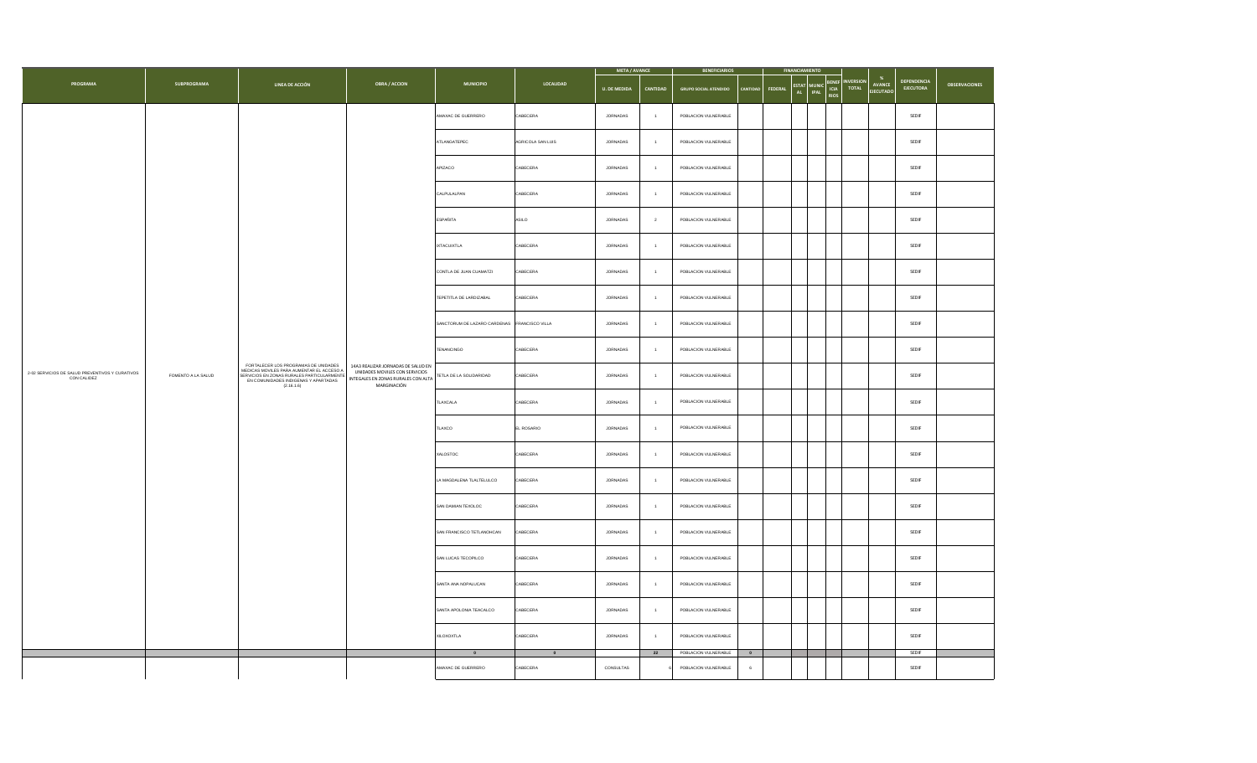|                                                             |                    |                                                                                                                                                                                       |                                                                                                                            |                              |                   | <b>META / AVANCE</b> |                 | <b>BENEFICIARIOS</b>         |              |                                 |                                                                                |                                 |                                  |                                 |                      |
|-------------------------------------------------------------|--------------------|---------------------------------------------------------------------------------------------------------------------------------------------------------------------------------------|----------------------------------------------------------------------------------------------------------------------------|------------------------------|-------------------|----------------------|-----------------|------------------------------|--------------|---------------------------------|--------------------------------------------------------------------------------|---------------------------------|----------------------------------|---------------------------------|----------------------|
| PROGRAMA                                                    | <b>SUBPROGRAMA</b> | LINEA DE ACCIÓN                                                                                                                                                                       | <b>OBRA / ACCION</b>                                                                                                       | <b>MUNICIPIO</b>             | LOCALIDAD         | <b>U. DE MEDIDA</b>  | <b>CANTIDAD</b> | <b>GRUPO SOCIAL ATENDIDO</b> | CANTIDAD     | <b>FEDERAL</b><br>$\mathsf{AL}$ | <b>BENEF</b><br><b>ESTAT</b> MUNIC<br>$\sf ICIA$<br><b>IPAL</b><br><b>RIOS</b> | <b>IVERSION</b><br><b>TOTAL</b> | <b>AVANCE</b><br><b>FIFCUTAD</b> | DEPENDENCIA<br><b>EJECUTORA</b> | <b>OBSERVACIONES</b> |
|                                                             |                    |                                                                                                                                                                                       |                                                                                                                            | AMAXAC DE GUERRERO           | CABECERA          | <b>JORNADAS</b>      | $\overline{1}$  | POBLACION VULNERABLE         |              |                                 |                                                                                |                                 |                                  | SEDIF                           |                      |
|                                                             |                    |                                                                                                                                                                                       |                                                                                                                            | ATLANGATEPEC                 | AGRICOLA SAN LUIS | <b>JORNADAS</b>      | $\overline{1}$  | POBLACION VULNERABLE         |              |                                 |                                                                                |                                 |                                  | SEDIF                           |                      |
|                                                             |                    |                                                                                                                                                                                       |                                                                                                                            | APIZACO                      | CABECERA          | JORNADAS             | $\overline{1}$  | POBLACION VULNERABLE         |              |                                 |                                                                                |                                 |                                  | SEDIF                           |                      |
|                                                             |                    |                                                                                                                                                                                       |                                                                                                                            | CALPULALPAN                  | CABECERA          | <b>JORNADAS</b>      | $\overline{1}$  | POBLACION VULNERABLE         |              |                                 |                                                                                |                                 |                                  | SEDIF                           |                      |
|                                                             |                    |                                                                                                                                                                                       |                                                                                                                            | ESPAÑITA                     | ASILO             | <b>JORNADAS</b>      | $\overline{2}$  | POBLACION VULNERABLE         |              |                                 |                                                                                |                                 |                                  | SEDIF                           |                      |
|                                                             |                    |                                                                                                                                                                                       |                                                                                                                            | <b>IXTACUIXTLA</b>           | CABECERA          | JORNADAS             |                 | POBLACION VULNERABLE         |              |                                 |                                                                                |                                 |                                  | SEDIF                           |                      |
|                                                             |                    | CONTLA DE JUAN CUAMATZI                                                                                                                                                               | CABECERA                                                                                                                   | <b>JORNADAS</b>              | $\overline{1}$    | POBLACION VULNERABLE |                 |                              |              |                                 |                                                                                | SEDIF                           |                                  |                                 |                      |
|                                                             |                    |                                                                                                                                                                                       | TEPETITLA DE LARDIZABAL<br>CABECERA<br><b>JORNADAS</b><br>$\overline{1}$                                                   | POBLACION VULNERABLE         |                   |                      |                 |                              |              | SEDIF                           |                                                                                |                                 |                                  |                                 |                      |
|                                                             |                    |                                                                                                                                                                                       |                                                                                                                            | SANCTORUM DE LAZARO CARDENAS | FRANCISCO VILLA   | <b>JORNADAS</b>      | $\overline{1}$  | POBLACION VULNERABLE         |              |                                 |                                                                                |                                 | SEDIF                            |                                 |                      |
|                                                             |                    |                                                                                                                                                                                       |                                                                                                                            | TENANCINGO                   | CABECERA          | <b>JORNADAS</b>      | $\overline{1}$  | POBLACION VULNERABLE         |              |                                 |                                                                                |                                 |                                  | SEDIF                           |                      |
| 2-02 SERVICIOS DE SALUD PREVENTIVOS Y CURATIVOS CON CALIDEZ | FOMENTO A LA SALUD | FORTALECER LOS PROGRAMAS DE UNIDADES<br>MEDICAS MOVILES PARA AUMENTAR EL ACCESO A<br>SERVICIOS EN ZONAS RURALES PARTICULARMENTE<br>EN COMUNIDADES INDIGENAS Y APARTADAS<br>(2.16.1.6) | 14A3 REALIZAR JORNADAS DE SALUD EN<br>UNIDADES MOVILES CON SERVICIOS<br>INTEGALES EN ZONAS RURALES CON ALTA<br>MARGINACIÓN | TETLA DE LA SOLIDARIDAD      | CABECERA          | <b>JORNADAS</b>      | $\overline{1}$  | POBLACION VULNERABLE         |              |                                 |                                                                                |                                 |                                  | SEDIF                           |                      |
|                                                             |                    |                                                                                                                                                                                       |                                                                                                                            | TLAXCALA                     | CABECERA          | JORNADAS             | $\overline{1}$  | POBLACION VULNERABLE         |              |                                 |                                                                                |                                 |                                  | SEDIF                           |                      |
|                                                             |                    |                                                                                                                                                                                       |                                                                                                                            | TLAXCO                       | EL ROSARIO        | <b>JORNADAS</b>      | $\overline{1}$  | POBLACION VULNERABLE         |              |                                 |                                                                                | SEDIF                           |                                  |                                 |                      |
|                                                             |                    |                                                                                                                                                                                       | XALOSTOC<br>CABECERA<br><b>JORNADAS</b><br>POBLACION VULNERABLE<br>$\overline{1}$                                          |                              |                   |                      |                 | SEDIF                        |              |                                 |                                                                                |                                 |                                  |                                 |                      |
|                                                             |                    |                                                                                                                                                                                       |                                                                                                                            | A MAGDALENA TLALTELULCO      | CABECERA          | JORNADAS             | $\overline{1}$  | POBLACION VULNERABLE         |              |                                 |                                                                                |                                 |                                  | SEDIF                           |                      |
|                                                             |                    |                                                                                                                                                                                       |                                                                                                                            | SAN DAMIAN TEXOLOC           | CABECERA          | <b>JORNADAS</b>      | $\rightarrow$   | POBLACION VULNERABLE         |              |                                 |                                                                                |                                 |                                  | SEDIF                           |                      |
|                                                             |                    |                                                                                                                                                                                       |                                                                                                                            | SAN FRANCISCO TETLANOHCAN    | CABECERA          | <b>JORNADAS</b>      | $\overline{1}$  | POBLACION VULNERABLE         |              |                                 |                                                                                |                                 |                                  | SEDIF                           |                      |
|                                                             |                    |                                                                                                                                                                                       |                                                                                                                            | SAN LUCAS TECOPILCO          | CABECERA          | JORNADAS             |                 | POBLACION VULNERABLE         |              |                                 |                                                                                |                                 |                                  | SEDIF                           |                      |
|                                                             |                    |                                                                                                                                                                                       |                                                                                                                            | SANTA ANA NOPALUCAN          | CABECERA          | <b>JORNADAS</b>      | $\overline{1}$  | POBLACION VULNERABLE         |              |                                 |                                                                                |                                 |                                  | SEDIF                           |                      |
|                                                             |                    |                                                                                                                                                                                       |                                                                                                                            | SANTA APOLONIA TEACALCO      | CABECERA          | <b>JORNADAS</b>      | $\overline{1}$  | POBLACION VULNERABLE         |              |                                 |                                                                                |                                 |                                  | SEDIF                           |                      |
|                                                             |                    |                                                                                                                                                                                       |                                                                                                                            | XILOXOXTLA                   | CABECERA          | JORNADAS             | $\overline{1}$  | POBLACION VULNERABLE         |              |                                 |                                                                                |                                 |                                  | SEDIF                           |                      |
|                                                             |                    |                                                                                                                                                                                       |                                                                                                                            | $\bullet$                    | $\bullet$         |                      | 22              | POBLACION VULNERABLE         | $\mathbf{0}$ |                                 |                                                                                |                                 |                                  | SEDIF                           |                      |
|                                                             |                    |                                                                                                                                                                                       |                                                                                                                            | AMAXAC DE GUERRERO           | CABECERA          | CONSULTAS            |                 | POBLACION VULNERABLE         | $_{\rm 6}$   |                                 |                                                                                |                                 |                                  | SEDIF                           |                      |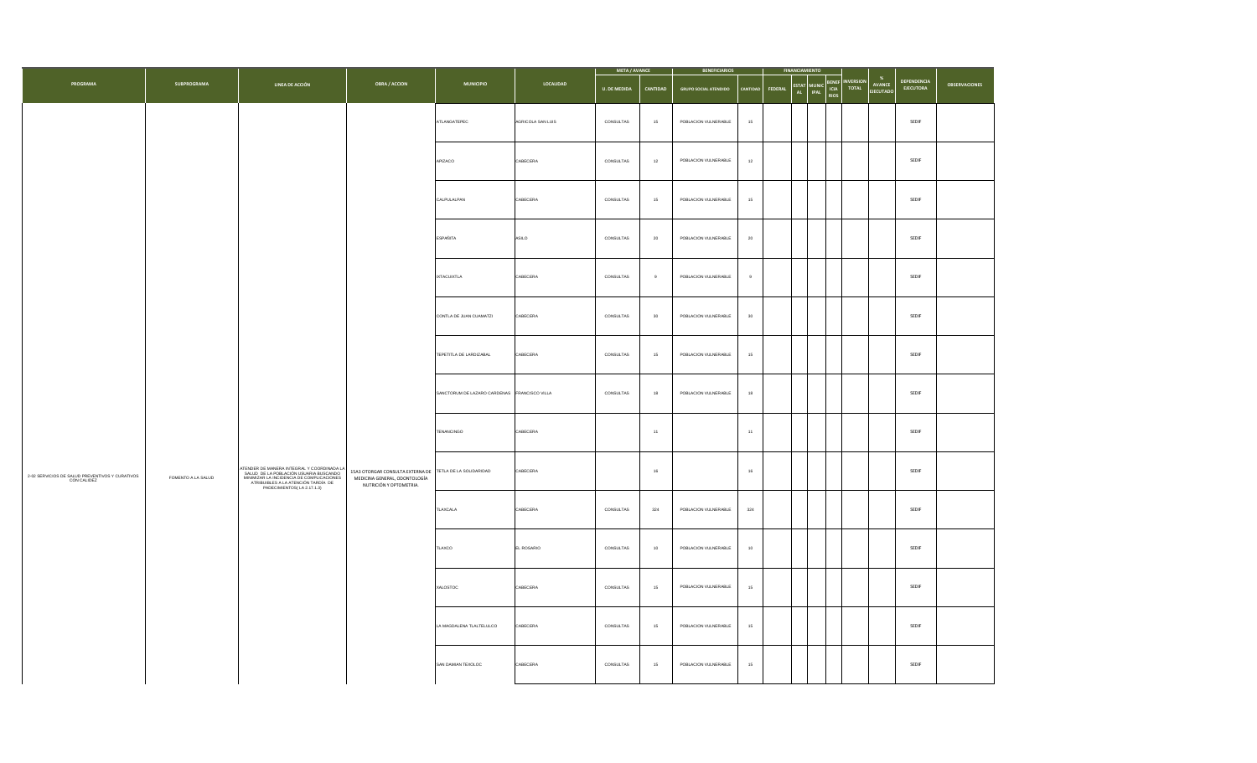|                                                             |                    |                                                                                                                                                                                                                                       |                                                                                                                      |                                              |                   |                     | <b>META / AVANCE</b> |                              | <b>BENEFICIARIOS</b> |                      |                                                            |                          |                             |                                 |                      |  |
|-------------------------------------------------------------|--------------------|---------------------------------------------------------------------------------------------------------------------------------------------------------------------------------------------------------------------------------------|----------------------------------------------------------------------------------------------------------------------|----------------------------------------------|-------------------|---------------------|----------------------|------------------------------|----------------------|----------------------|------------------------------------------------------------|--------------------------|-----------------------------|---------------------------------|----------------------|--|
| PROGRAMA                                                    | <b>SUBPROGRAMA</b> | LINEA DE ACCIÓN                                                                                                                                                                                                                       | <b>OBRA / ACCION</b>                                                                                                 | <b>MUNICIPIO</b>                             | LOCALIDAD         | <b>U. DE MEDIDA</b> | CANTIDAD             | <b>GRUPO SOCIAL ATENDIDO</b> | CANTIDAD             | <b>FEDERAL</b><br>AL | BENEF<br>ICIA<br>RIOS<br><b>ESTAT</b> MUNIC<br><b>IPAL</b> | <b>NVERSION</b><br>TOTAL | $\%$<br>AVANCE<br>EJECUTADO | <b>DEPENDENCIA</b><br>EJECUTORA | <b>OBSERVACIONES</b> |  |
|                                                             |                    |                                                                                                                                                                                                                                       |                                                                                                                      | ATLANGATEPEC                                 | AGRICOLA SAN LUIS | CONSULTAS           | $15\,$               | POBLACION VULNERABLE         | 15                   |                      |                                                            |                          |                             | SEDIF                           |                      |  |
|                                                             |                    |                                                                                                                                                                                                                                       |                                                                                                                      | APIZACO                                      | CABECERA          | CONSULTAS           | $12\,$               | POBLACION VULNERABLE         | 12                   |                      |                                                            |                          |                             | SEDIF                           |                      |  |
|                                                             |                    |                                                                                                                                                                                                                                       |                                                                                                                      | CALPULALPAN                                  | CABECERA          | CONSULTAS           | 15                   | POBLACION VULNERABLE         | 15                   |                      |                                                            |                          |                             | SEDIF                           |                      |  |
|                                                             |                    |                                                                                                                                                                                                                                       | ESPAÑITA                                                                                                             | ASILO                                        | CONSULTAS         | $\bf{20}$           | POBLACION VULNERABLE | $\bf{20}$                    |                      |                      |                                                            |                          | SEDIF                       |                                 |                      |  |
|                                                             |                    |                                                                                                                                                                                                                                       |                                                                                                                      | <b>IXTACUIXTLA</b>                           | CABECERA          | CONSULTAS           | 9                    | POBLACION VULNERABLE         | $_{9}$               |                      |                                                            |                          |                             | SEDIF                           |                      |  |
|                                                             |                    |                                                                                                                                                                                                                                       |                                                                                                                      | CONTLA DE JUAN CUAMATZI                      | CABECERA          | CONSULTAS           | $30\,$               | POBLACION VULNERABLE         | $30\,$               |                      |                                                            |                          |                             | SEDIF                           |                      |  |
|                                                             |                    |                                                                                                                                                                                                                                       |                                                                                                                      | TEPETITLA DE LARDIZABAL                      | CABECERA          | CONSULTAS           | $15\,$               | POBLACION VULNERABLE         | $15\,$               |                      |                                                            |                          |                             | SEDIF                           |                      |  |
|                                                             |                    |                                                                                                                                                                                                                                       |                                                                                                                      | SANCTORUM DE LAZARO CARDENAS FRANCISCO VILLA |                   | CONSULTAS           | $18$                 | POBLACION VULNERABLE         | 18                   |                      |                                                            |                          |                             | SEDIF                           |                      |  |
|                                                             |                    |                                                                                                                                                                                                                                       | TENANCINGO                                                                                                           | CABECERA                                     |                   | $\,$ 11 $\,$        |                      | $\mathbf{11}$                |                      |                      |                                                            |                          | SEDIF                       |                                 |                      |  |
| 2-02 SERVICIOS DE SALUD PREVENTIVOS Y CURATIVOS CON CALIDEZ | FOMENTO A LA SALUD | ATENDER DE MANERA INTEGRAL Y COORDINADA LA<br>SALUD DE LA POBLACIÓN USUARIA BUSCANDO<br>MINIMIZAR LA INCIDENCIA DE COMPLICACIONES<br>ATRIBUIBLES A LA ATENCIÓN TARDÍA DE<br>ATRIBUIBLES A LA ATENCIA DE<br>PADECIMIENTOS(LA 2.17.1.3) | 15A3 OTORGAR CONSULTA EXTERNA DE TETLA DE LA SOLIDARIDAD<br>MEDICINA GENERAL, ODONTOLOGÍA<br>NUTRICIÓN Y OPTOMETRIA. |                                              | CABECERA          |                     | 16                   |                              | 16                   |                      |                                                            |                          |                             | SEDIF                           |                      |  |
|                                                             |                    |                                                                                                                                                                                                                                       |                                                                                                                      | TLAXCALA                                     | CABECERA          | CONSULTAS           | 324                  | POBLACION VULNERABLE         | 324                  |                      |                                                            |                          |                             | SEDIF                           |                      |  |
|                                                             |                    |                                                                                                                                                                                                                                       |                                                                                                                      | TLAXCO                                       | EL ROSARIO        | CONSULTAS           | $10$                 | POBLACION VULNERABLE         | 10                   |                      |                                                            |                          |                             | SEDIF                           |                      |  |
|                                                             |                    |                                                                                                                                                                                                                                       |                                                                                                                      | XALOSTOC                                     | CABECERA          | CONSULTAS           | 15                   | POBLACION VULNERABLE         | $15$                 |                      |                                                            |                          |                             | SEDIF                           |                      |  |
|                                                             |                    |                                                                                                                                                                                                                                       |                                                                                                                      | LA MAGDALENA TLALTELULCO                     | CABECERA          | CONSULTAS           | $15\,$               | POBLACION VULNERABLE         | 15                   |                      |                                                            |                          |                             | SEDIF                           |                      |  |
|                                                             |                    |                                                                                                                                                                                                                                       |                                                                                                                      | SAN DAMIAN TEXOLOC                           | CABECERA          | CONSULTAS           | 15                   | POBLACION VULNERABLE         | $15\,$               |                      |                                                            |                          |                             | SEDIF                           |                      |  |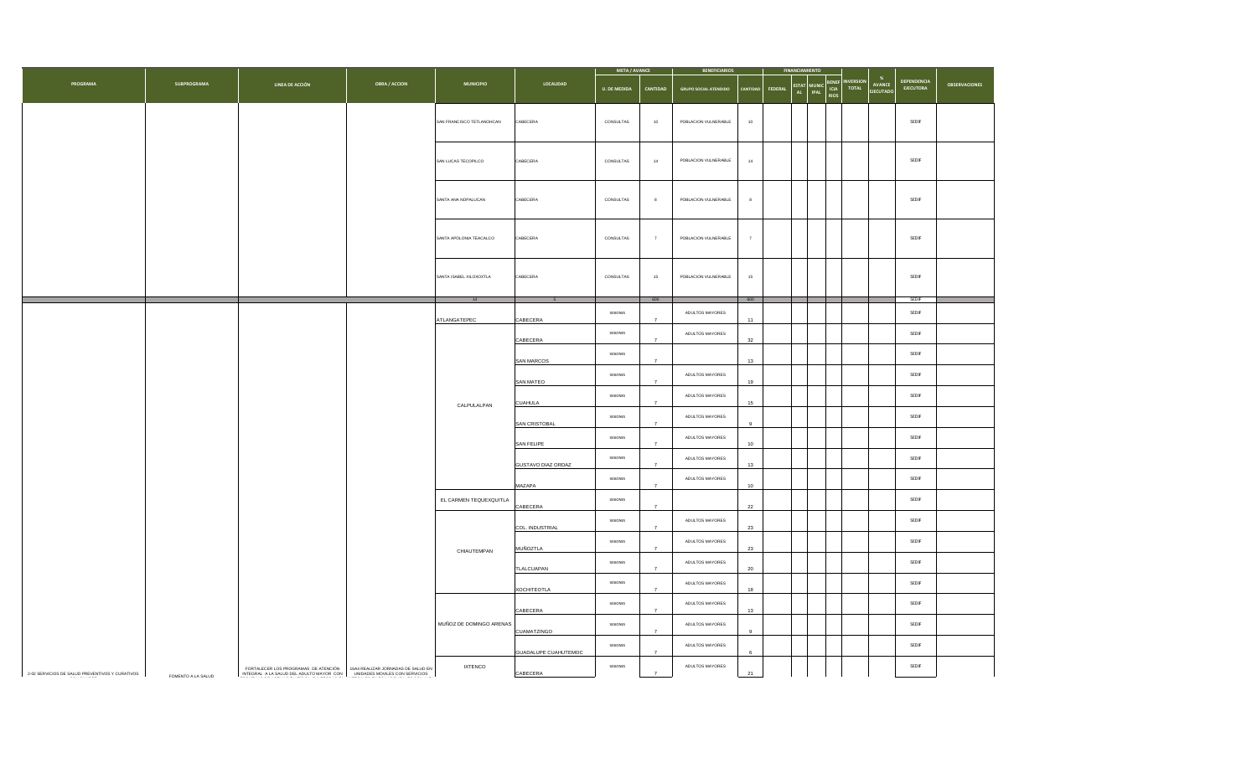|                                                 |                    |                                                                                                                                                 |                                    | <b>META / AVANCE</b>      |                    | <b>BENEFICIARIOS</b> |                                  |                              |                  |                  |                          |                                             |                           |                                      |                                 |                      |  |
|-------------------------------------------------|--------------------|-------------------------------------------------------------------------------------------------------------------------------------------------|------------------------------------|---------------------------|--------------------|----------------------|----------------------------------|------------------------------|------------------|------------------|--------------------------|---------------------------------------------|---------------------------|--------------------------------------|---------------------------------|----------------------|--|
| PROGRAMA                                        | <b>SUBPROGRAMA</b> | LINEA DE ACCIÓN                                                                                                                                 | <b>OBRA / ACCION</b>               | <b>MUNICIPIO</b>          | LOCALIDAD          | <b>U. DE MEDIDA</b>  | <b>CANTIDAD</b>                  | <b>GRUPO SOCIAL ATENDIDO</b> | <b>CANTIDAD</b>  | <b>FEDERAL</b>   | <b>ESTAT</b> MUNIC<br>AL | BENEF<br>ICIA<br><b>IPAL</b><br><b>RIOS</b> | INVERSION<br><b>TOTAL</b> | %<br><b>AVANCE</b><br><b>IFCUTAD</b> | DEPENDENCIA<br><b>EJECUTORA</b> | <b>OBSERVACIONES</b> |  |
|                                                 |                    |                                                                                                                                                 |                                    | SAN FRANCISCO TETLANOHCAN | CABECERA           | CONSULTAS            | 10                               | POBLACION VULNERABLE         | $10\,$           |                  |                          |                                             |                           |                                      | SEDIF                           |                      |  |
|                                                 |                    |                                                                                                                                                 |                                    | SAN LUCAS TECOPILCO       | CABECERA           | CONSULTAS            | 14                               | POBLACION VULNERABLE         | 14               |                  |                          |                                             |                           |                                      | SEDIF                           |                      |  |
|                                                 |                    |                                                                                                                                                 |                                    | SANTA ANA NOPALUCAN       | CABECERA           | CONSULTAS            | $\overline{\phantom{a}}$         | POBLACION VULNERABLE         | $\boldsymbol{8}$ |                  |                          |                                             |                           |                                      | SEDIF                           |                      |  |
|                                                 |                    |                                                                                                                                                 |                                    | SANTA APOLONIA TEACALCO   | CABECERA           | CONSULTAS            | 7                                | POBLACION VULNERABLE         | $\bar{7}$        |                  |                          |                                             |                           |                                      | SEDIF                           |                      |  |
|                                                 |                    |                                                                                                                                                 |                                    | SANTA ISABEL XILOXOXTLA   | CABECERA           | CONSULTAS            | $15\,$                           | POBLACION VULNERABLE         | $15\,$           |                  |                          |                                             |                           |                                      | SEDIF                           |                      |  |
|                                                 |                    |                                                                                                                                                 |                                    |                           |                    |                      | 600                              |                              | 600              |                  |                          |                                             |                           |                                      | SEDIF                           |                      |  |
|                                                 |                    |                                                                                                                                                 |                                    | ATLANGATEPEC              | CABECERA           | SESIONES             | $\overline{7}$                   | ADULTOS MAYORES              | 11               |                  |                          |                                             |                           |                                      | SEDIF                           |                      |  |
|                                                 |                    |                                                                                                                                                 |                                    |                           | CABECERA           | SESIONES             | $\overline{7}$                   | ADULTOS MAYORES              | 32               |                  |                          |                                             |                           |                                      | SEDIF                           |                      |  |
|                                                 |                    |                                                                                                                                                 |                                    | SAN MARCOS                | SESIONES           | $\overline{7}$       |                                  | 13                           |                  |                  |                          |                                             |                           | SEDIF                                |                                 |                      |  |
|                                                 |                    |                                                                                                                                                 |                                    |                           | SAN MATEO          | SESIONES             | $\overline{7}$                   | ADULTOS MAYORES              | 19               |                  |                          |                                             |                           |                                      | SEDIF                           |                      |  |
|                                                 |                    |                                                                                                                                                 |                                    | CALPULALPAN               | <b>CUAHULA</b>     | SESIONES             | $\overline{7}$                   | ADULTOS MAYORES              | 15 <sub>15</sub> |                  |                          |                                             |                           |                                      | SEDIF                           |                      |  |
|                                                 |                    |                                                                                                                                                 |                                    |                           | SAN CRISTOBAL      | SESIONES             | $\overline{7}$                   | ADULTOS MAYORES              | $\mathbf{q}$     |                  |                          |                                             |                           |                                      | SEDIF                           |                      |  |
|                                                 |                    |                                                                                                                                                 |                                    |                           |                    | SAN FELIPE           | SESIONES                         | $\overline{7}$               | ADULTOS MAYORES  | 10               |                          |                                             |                           |                                      |                                 | SEDIF                |  |
|                                                 |                    |                                                                                                                                                 |                                    |                           | GUSTAVO DIAZ ORDAZ | SESIONES             | $\overline{7}$                   | ADULTOS MAYORES              | 13               |                  |                          |                                             |                           |                                      | SEDIF                           |                      |  |
|                                                 |                    |                                                                                                                                                 |                                    |                           | MAZAPA             | SESIONES             | $\overline{7}$                   | ADULTOS MAYORES              | 10               |                  |                          |                                             |                           |                                      | SEDIF                           |                      |  |
|                                                 |                    |                                                                                                                                                 |                                    | EL CARMEN TEQUEXQUITLA    |                    | SESIONES             |                                  |                              |                  |                  |                          |                                             |                           |                                      | SEDIF                           |                      |  |
|                                                 |                    |                                                                                                                                                 |                                    |                           | CABECERA           | SESIONES             | $\overline{7}$                   | ADULTOS MAYORES              | 22               |                  |                          |                                             |                           |                                      | SEDIF                           |                      |  |
|                                                 |                    |                                                                                                                                                 |                                    |                           | COL. INDUSTRIAL    | SESIONES             | $\overline{7}$                   | ADULTOS MAYORES              | 23               |                  |                          |                                             |                           |                                      | SEDIF                           |                      |  |
|                                                 |                    |                                                                                                                                                 |                                    | CHIAUTEMPAN               | MUÑOZTLA           | SESIONES             | $\overline{7}$<br>$\overline{7}$ | ADULTOS MAYORES              | 23               |                  |                          |                                             |                           |                                      | SEDIF                           |                      |  |
|                                                 |                    |                                                                                                                                                 |                                    |                           | TLALCUAPAN         | SESIONES             |                                  | ADULTOS MAYORES              | $20\degree$      |                  |                          |                                             |                           |                                      | SEDIF                           |                      |  |
|                                                 |                    |                                                                                                                                                 |                                    |                           | <b>XOCHITEOTLA</b> | SESIONES             | $\overline{z}$                   | ADULTOS MAYORES              | 18               |                  |                          |                                             |                           |                                      | SEDIF                           |                      |  |
|                                                 |                    |                                                                                                                                                 |                                    |                           | CABECERA           |                      | $\overline{z}$                   |                              | 13               |                  |                          |                                             |                           |                                      |                                 |                      |  |
|                                                 |                    |                                                                                                                                                 |                                    | MUÑOZ DE DOMINGO ARENAS   |                    | CUAMATZINGO          | SESIONES                         | $\overline{7}$               | ADULTOS MAYORES  | $\boldsymbol{9}$ |                          |                                             |                           |                                      |                                 | SEDIF                |  |
|                                                 |                    | <b>GUADALUPE CUAHUTEMOC</b>                                                                                                                     | SESIONES                           |                           | ADULTOS MAYORES    | 6                    |                                  |                              |                  |                  |                          | SEDIF                                       |                           |                                      |                                 |                      |  |
| 2-02 SERVICIOS DE SALUD PREVENTIVOS Y CURATIVOS | FOMENTO A LA SALUD | FORTALECER LOS PROGRAMAS DE ATENCIÓN 16A4 REALIZAR JORNADAS DE SALUD EN INTEGRAL A LA SALUD DEL ADULTO MAYOR CON UNIDADES MOVILES CON SERVICIOS | 16A4 REALIZAR JORNADAS DE SALUD EN | <b>IXTENCO</b>            | CABECERA           | SESIONES             | $\overline{7}$                   | ADULTOS MAYORES              | 21               |                  |                          |                                             |                           |                                      | SEDIF                           |                      |  |